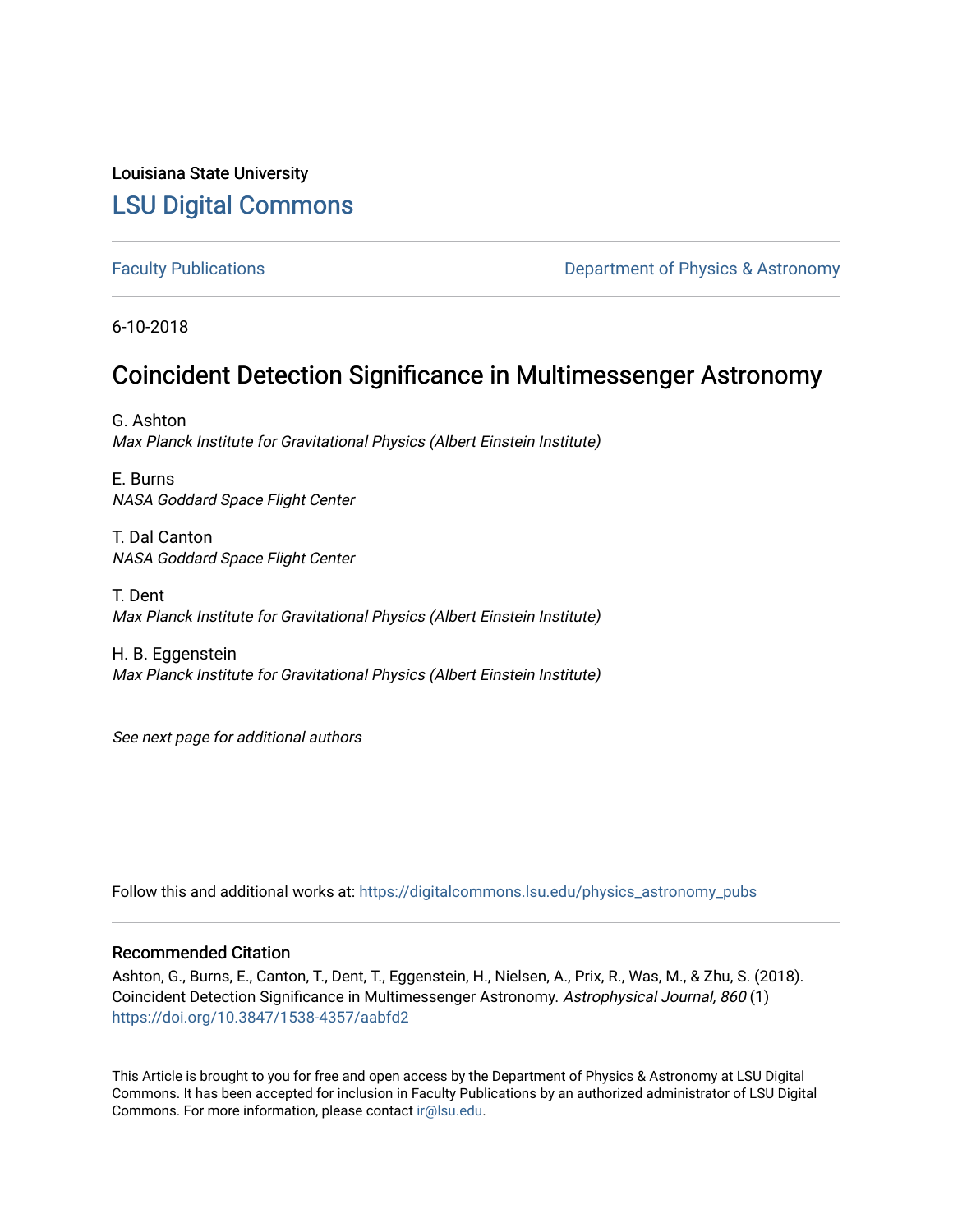Louisiana State University [LSU Digital Commons](https://digitalcommons.lsu.edu/)

[Faculty Publications](https://digitalcommons.lsu.edu/physics_astronomy_pubs) **Exercise 2 and Table 2 and Table 2 and Table 2 and Table 2 and Table 2 and Table 2 and Table 2 and Table 2 and Table 2 and Table 2 and Table 2 and Table 2 and Table 2 and Table 2 and Table 2 and Table** 

6-10-2018

# Coincident Detection Significance in Multimessenger Astronomy

G. Ashton Max Planck Institute for Gravitational Physics (Albert Einstein Institute)

E. Burns NASA Goddard Space Flight Center

T. Dal Canton NASA Goddard Space Flight Center

T. Dent Max Planck Institute for Gravitational Physics (Albert Einstein Institute)

H. B. Eggenstein Max Planck Institute for Gravitational Physics (Albert Einstein Institute)

See next page for additional authors

Follow this and additional works at: [https://digitalcommons.lsu.edu/physics\\_astronomy\\_pubs](https://digitalcommons.lsu.edu/physics_astronomy_pubs?utm_source=digitalcommons.lsu.edu%2Fphysics_astronomy_pubs%2F578&utm_medium=PDF&utm_campaign=PDFCoverPages) 

### Recommended Citation

Ashton, G., Burns, E., Canton, T., Dent, T., Eggenstein, H., Nielsen, A., Prix, R., Was, M., & Zhu, S. (2018). Coincident Detection Significance in Multimessenger Astronomy. Astrophysical Journal, 860 (1) <https://doi.org/10.3847/1538-4357/aabfd2>

This Article is brought to you for free and open access by the Department of Physics & Astronomy at LSU Digital Commons. It has been accepted for inclusion in Faculty Publications by an authorized administrator of LSU Digital Commons. For more information, please contact [ir@lsu.edu](mailto:ir@lsu.edu).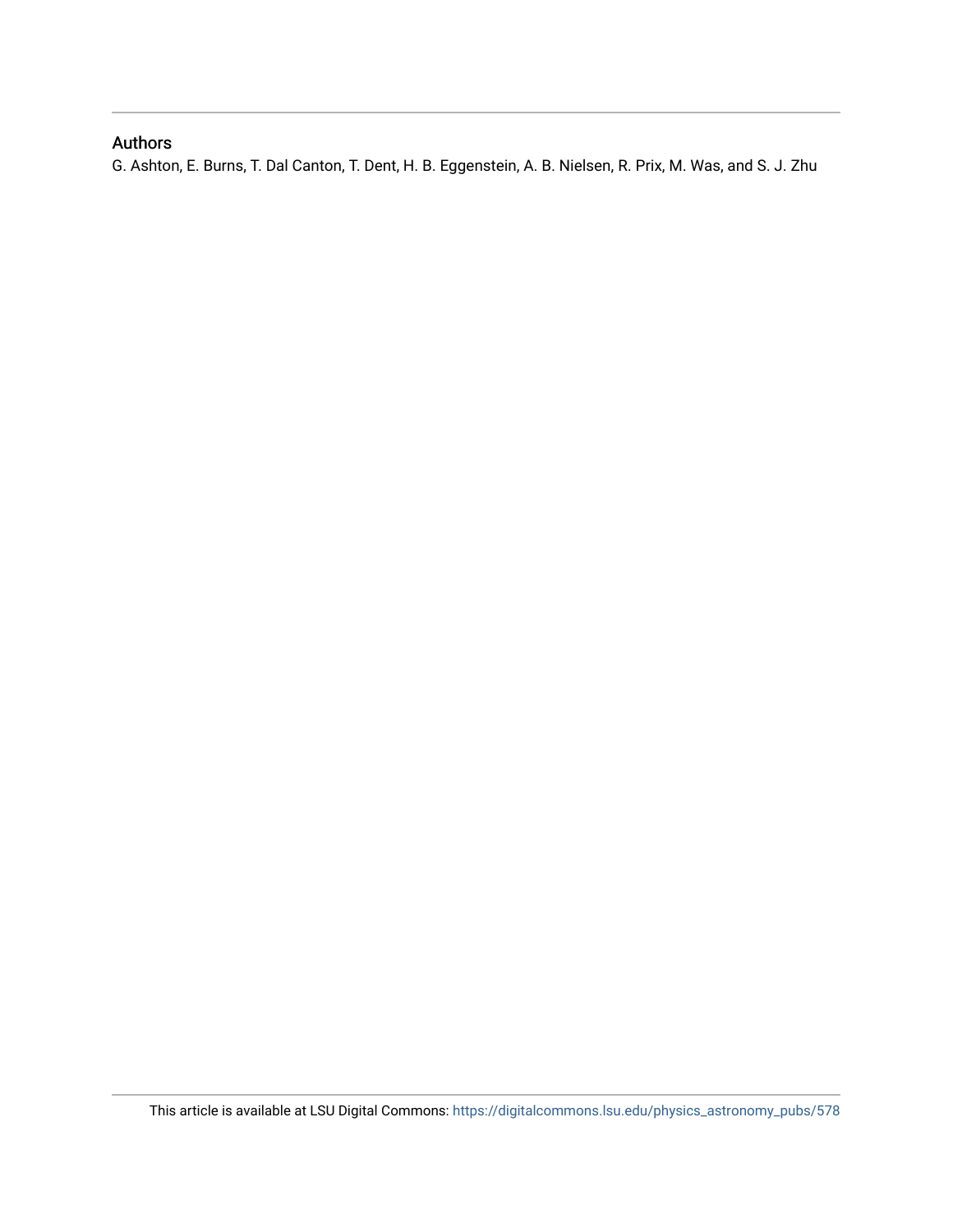## Authors

G. Ashton, E. Burns, T. Dal Canton, T. Dent, H. B. Eggenstein, A. B. Nielsen, R. Prix, M. Was, and S. J. Zhu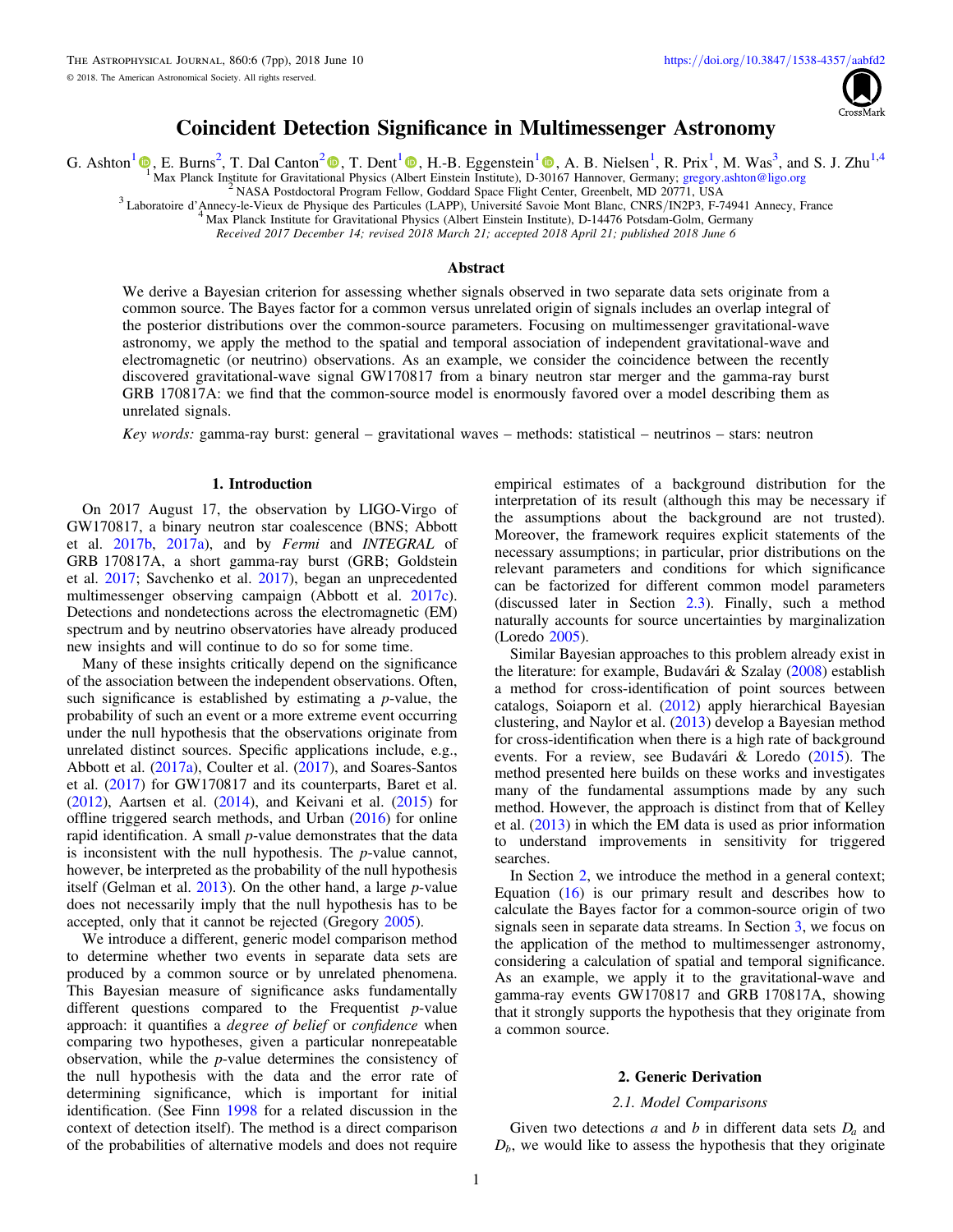

## Coincident Detection Significance in Multimessenger Astronomy

G. Ashton<sup>[1](https://orcid.org/0000-0001-5296-7035)</sup>  $\mathbb{Q}$ , E. Burns<sup>[2](https://orcid.org/0000-0001-5078-9044)</sup>, T. Dal Canton<sup>2</sup>  $\mathbb{O}$ , T. Dent<sup>1</sup>  $\mathbb{O}$ , H.-B. Eggenstein<sup>1</sup>  $\mathbb{O}$ , A. B. Nielsen<sup>1</sup>, R. Prix<sup>1</sup>, M. Was<sup>3</sup>, and S. J. Zhu<sup>1,4</sup>

<sup>[1](https://orcid.org/0000-0001-7288-2231)</sup> Max Planck Institute for Gravitati[ona](https://orcid.org/0000-0001-5078-9044)l Physics (A[lbe](https://orcid.org/0000-0003-1354-7809)rt Einstein Institute), D-[301](https://orcid.org/0000-0001-5296-7035)67 Hannover, Germany; [gregory.ashton@ligo.org](mailto:gregory.ashton@ligo.org)<br><sup>2</sup> NASA Postdoctoral Program Fellow, Goddard Space Flight Center, Greenbelt, MD 20771, USA

Received 2017 December 14; revised 2018 March 21; accepted 2018 April 21; published 2018 June 6

#### Abstract

We derive a Bayesian criterion for assessing whether signals observed in two separate data sets originate from a common source. The Bayes factor for a common versus unrelated origin of signals includes an overlap integral of the posterior distributions over the common-source parameters. Focusing on multimessenger gravitational-wave astronomy, we apply the method to the spatial and temporal association of independent gravitational-wave and electromagnetic (or neutrino) observations. As an example, we consider the coincidence between the recently discovered gravitational-wave signal GW170817 from a binary neutron star merger and the gamma-ray burst GRB 170817A: we find that the common-source model is enormously favored over a model describing them as unrelated signals.

Key words: gamma-ray burst: general – gravitational waves – methods: statistical – neutrinos – stars: neutron

#### 1. Introduction

On 2017 August 17, the observation by LIGO-Virgo of GW170817, a binary neutron star coalescence (BNS; Abbott et al. [2017b,](#page-7-0) [2017a](#page-7-0)), and by Fermi and INTEGRAL of GRB 170817A, a short gamma-ray burst (GRB; Goldstein et al. [2017](#page-7-0); Savchenko et al. [2017](#page-8-0)), began an unprecedented multimessenger observing campaign (Abbott et al. [2017c](#page-7-0)). Detections and nondetections across the electromagnetic (EM) spectrum and by neutrino observatories have already produced new insights and will continue to do so for some time.

Many of these insights critically depend on the significance of the association between the independent observations. Often, such significance is established by estimating a  $p$ -value, the probability of such an event or a more extreme event occurring under the null hypothesis that the observations originate from unrelated distinct sources. Specific applications include, e.g., Abbott et al. ([2017a](#page-7-0)), Coulter et al. ([2017](#page-7-0)), and Soares-Santos et al. ([2017](#page-8-0)) for GW170817 and its counterparts, Baret et al.  $(2012)$  $(2012)$  $(2012)$ , Aartsen et al.  $(2014)$  $(2014)$  $(2014)$ , and Keivani et al.  $(2015)$  $(2015)$  $(2015)$  for offline triggered search methods, and Urban ([2016](#page-8-0)) for online rapid identification. A small p-value demonstrates that the data is inconsistent with the null hypothesis. The  $p$ -value cannot, however, be interpreted as the probability of the null hypothesis itself (Gelman et al. [2013](#page-7-0)). On the other hand, a large p-value does not necessarily imply that the null hypothesis has to be accepted, only that it cannot be rejected (Gregory [2005](#page-7-0)).

We introduce a different, generic model comparison method to determine whether two events in separate data sets are produced by a common source or by unrelated phenomena. This Bayesian measure of significance asks fundamentally different questions compared to the Frequentist p-value approach: it quantifies a *degree of belief* or *confidence* when comparing two hypotheses, given a particular nonrepeatable observation, while the p-value determines the consistency of the null hypothesis with the data and the error rate of determining significance, which is important for initial identification. (See Finn [1998](#page-7-0) for a related discussion in the context of detection itself). The method is a direct comparison of the probabilities of alternative models and does not require

empirical estimates of a background distribution for the interpretation of its result (although this may be necessary if the assumptions about the background are not trusted). Moreover, the framework requires explicit statements of the necessary assumptions; in particular, prior distributions on the relevant parameters and conditions for which significance can be factorized for different common model parameters (discussed later in Section [2.3](#page-4-0)). Finally, such a method naturally accounts for source uncertainties by marginalization (Loredo [2005](#page-8-0)).

Similar Bayesian approaches to this problem already exist in the literature: for example, Budavári & Szalay ([2008](#page-7-0)) establish a method for cross-identification of point sources between catalogs, Soiaporn et al. ([2012](#page-8-0)) apply hierarchical Bayesian clustering, and Naylor et al. ([2013](#page-8-0)) develop a Bayesian method for cross-identification when there is a high rate of background events. For a review, see Budavári & Loredo ([2015](#page-7-0)). The method presented here builds on these works and investigates many of the fundamental assumptions made by any such method. However, the approach is distinct from that of Kelley et al. ([2013](#page-8-0)) in which the EM data is used as prior information to understand improvements in sensitivity for triggered searches.

In Section 2, we introduce the method in a general context; Equation  $(16)$  $(16)$  $(16)$  is our primary result and describes how to calculate the Bayes factor for a common-source origin of two signals seen in separate data streams. In Section [3,](#page-4-0) we focus on the application of the method to multimessenger astronomy, considering a calculation of spatial and temporal significance. As an example, we apply it to the gravitational-wave and gamma-ray events GW170817 and GRB 170817A, showing that it strongly supports the hypothesis that they originate from a common source.

#### 2. Generic Derivation

#### 2.1. Model Comparisons

Given two detections a and b in different data sets *Da* and  $D<sub>b</sub>$ , we would like to assess the hypothesis that they originate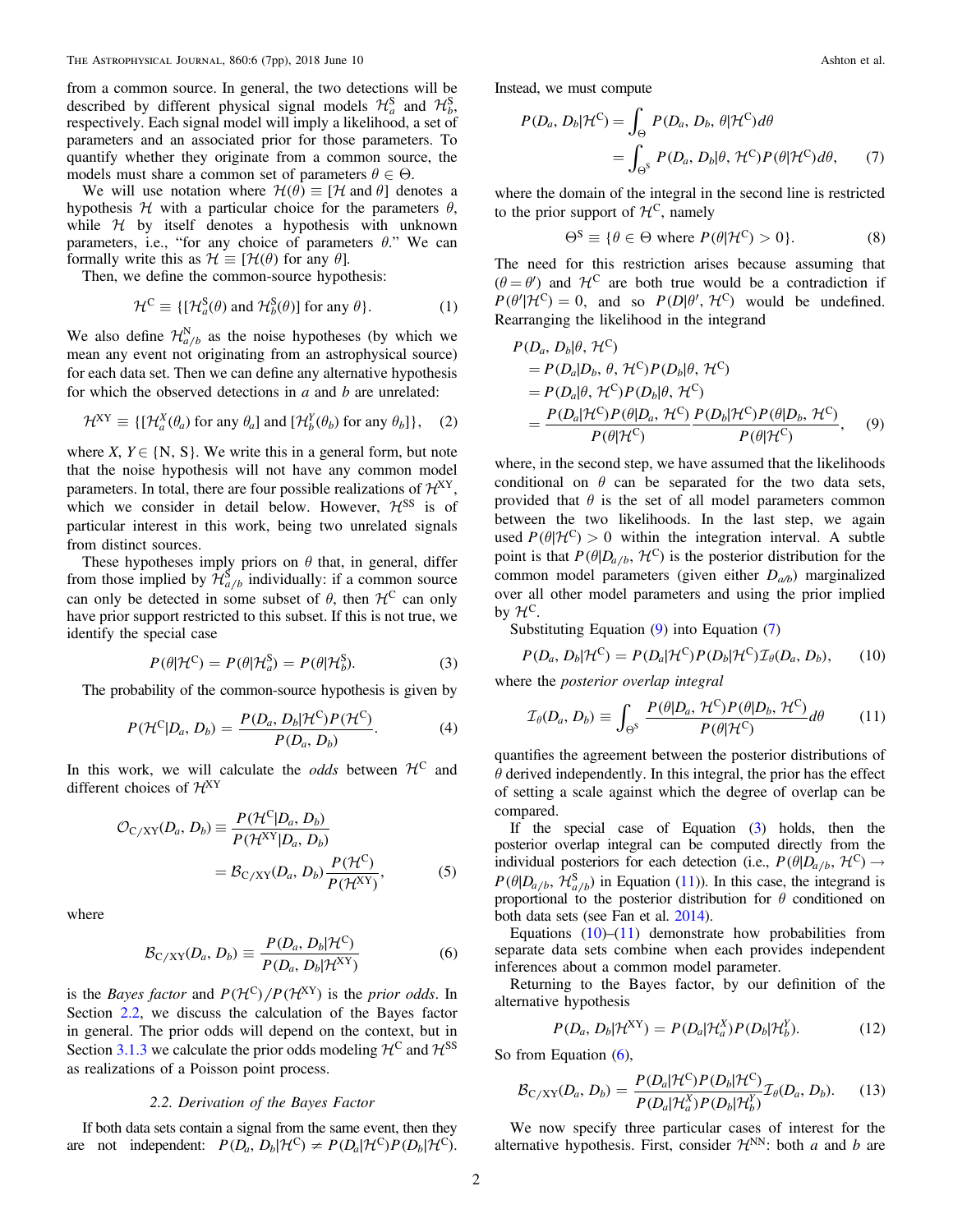<span id="page-3-0"></span>from a common source. In general, the two detections will be described by different physical signal models  $\mathcal{H}^S_a$  and  $\mathcal{H}^S_b$ , respectively. Each signal model will imply a likelihood, a set of parameters and an associated prior for those parameters. To quantify whether they originate from a common source, the models must share a common set of parameters  $\theta \in \Theta$ .

We will use notation where  $\mathcal{H}(\theta) \equiv [\mathcal{H} \text{ and } \theta]$  denotes a hypothesis  $H$  with a particular choice for the parameters  $\theta$ , while  $H$  by itself denotes a hypothesis with unknown parameters, i.e., "for any choice of parameters  $\theta$ ." We can formally write this as  $\mathcal{H} \equiv [\mathcal{H}(\theta)]$  for any  $\theta$ .

Then, we define the common-source hypothesis:

$$
\mathcal{H}^{\mathcal{C}} \equiv \{ [\mathcal{H}_a^{\mathcal{S}}(\theta) \text{ and } \mathcal{H}_b^{\mathcal{S}}(\theta)] \text{ for any } \theta \}. \tag{1}
$$

We also define  $\mathcal{H}_{a/b}^{N}$  as the noise hypotheses (by which we mean any event not originating from an astrophysical source) for each data set. Then we can define any alternative hypothesis for which the observed detections in  $a$  and  $b$  are unrelated:

$$
\mathcal{H}^{XY} \equiv \{ [\mathcal{H}_a^X(\theta_a) \text{ for any } \theta_a] \text{ and } [\mathcal{H}_b^Y(\theta_b) \text{ for any } \theta_b] \}, \quad (2)
$$

where X,  $Y \in \{N, S\}$ . We write this in a general form, but note that the noise hypothesis will not have any common model parameters. In total, there are four possible realizations of  $\mathcal{H}^{XY}$ , which we consider in detail below. However,  $\mathcal{H}^{SS}$  is of particular interest in this work, being two unrelated signals from distinct sources.

These hypotheses imply priors on  $\theta$  that, in general, differ from those implied by  $\hat{\mathcal{H}}_{a/b}^{S}$  individually: if a common source can only be detected in some subset of  $\theta$ , then  $\mathcal{H}^C$  can only have prior support restricted to this subset. If this is not true, we identify the special case

$$
P(\theta|\mathcal{H}^{\mathcal{C}}) = P(\theta|\mathcal{H}_a^{\mathcal{S}}) = P(\theta|\mathcal{H}_b^{\mathcal{S}}).
$$
 (3)

The probability of the common-source hypothesis is given by

$$
P(\mathcal{H}^{\mathcal{C}}|D_a, D_b) = \frac{P(D_a, D_b|\mathcal{H}^{\mathcal{C}})P(\mathcal{H}^{\mathcal{C}})}{P(D_a, D_b)}.
$$
 (4)

In this work, we will calculate the *odds* between  $H^C$  and different choices of  $\mathcal{H}^{XY}$ 

$$
\mathcal{O}_{C/XY}(D_a, D_b) \equiv \frac{P(\mathcal{H}^C|D_a, D_b)}{P(\mathcal{H}^{XY}|D_a, D_b)}
$$

$$
= \mathcal{B}_{C/XY}(D_a, D_b) \frac{P(\mathcal{H}^C)}{P(\mathcal{H}^{XY})}, \tag{5}
$$

where

$$
\mathcal{B}_{C/XY}(D_a, D_b) \equiv \frac{P(D_a, D_b | \mathcal{H}^C)}{P(D_a, D_b | \mathcal{H}^{XY})}
$$
(6)

is the *Bayes factor* and  $P(\mathcal{H}^C)/P(\mathcal{H}^{XY})$  is the *prior odds*. In Section 2.2, we discuss the calculation of the Bayes factor in general. The prior odds will depend on the context, but in Section [3.1.3](#page-6-0) we calculate the prior odds modeling  $\mathcal{H}^C$  and  $\mathcal{H}^{SS}$ as realizations of a Poisson point process.

#### 2.2. Derivation of the Bayes Factor

If both data sets contain a signal from the same event, then they are not independent:  $P(D_a, D_b | \mathcal{H}^C) \neq P(D_a | \mathcal{H}^C) P(D_b | \mathcal{H}^C)$ . Instead, we must compute

$$
P(D_a, D_b | \mathcal{H}^C) = \int_{\Theta} P(D_a, D_b, \theta | \mathcal{H}^C) d\theta
$$
  
= 
$$
\int_{\Theta^S} P(D_a, D_b | \theta, \mathcal{H}^C) P(\theta | \mathcal{H}^C) d\theta,
$$
 (7)

where the domain of the integral in the second line is restricted to the prior support of  $\mathcal{H}^C$ , namely

$$
\Theta^{S} \equiv \{ \theta \in \Theta \text{ where } P(\theta | \mathcal{H}^{C}) > 0 \}. \tag{8}
$$

The need for this restriction arises because assuming that  $(\theta = \theta')$  and  $\mathcal{H}^C$  are both true would be a contradiction if  $P(\theta' | \mathcal{H}^C) = 0$ , and so  $P(D | \theta', \mathcal{H}^C)$  would be undefined. Rearranging the likelihood in the integrand

$$
P(D_a, D_b | \theta, \mathcal{H}^C)
$$
  
=  $P(D_a | D_b, \theta, \mathcal{H}^C) P(D_b | \theta, \mathcal{H}^C)$   
=  $P(D_a | \theta, \mathcal{H}^C) P(D_b | \theta, \mathcal{H}^C)$   
=  $\frac{P(D_a | \mathcal{H}^C) P(\theta | D_a, \mathcal{H}^C) P(D_b | \mathcal{H}^C) P(\theta | D_b, \mathcal{H}^C)}{P(\theta | \mathcal{H}^C)}$ , (9)

where, in the second step, we have assumed that the likelihoods conditional on  $\theta$  can be separated for the two data sets, provided that  $\theta$  is the set of all model parameters common between the two likelihoods. In the last step, we again used  $P(\theta | \mathcal{H}^C) > 0$  within the integration interval. A subtle point is that  $P(\theta|D_{a/b}, \mathcal{H}^C)$  is the posterior distribution for the common model parameters (given either  $D_{a/b}$ ) marginalized over all other model parameters and using the prior implied by  $\mathcal{H}^C$ .

Substituting Equation (9) into Equation (7)

$$
P(D_a, D_b | \mathcal{H}^C) = P(D_a | \mathcal{H}^C) P(D_b | \mathcal{H}^C) \mathcal{I}_{\theta}(D_a, D_b), \qquad (10)
$$

where the posterior overlap integral

$$
\mathcal{I}_{\theta}(D_a, D_b) \equiv \int_{\Theta^S} \frac{P(\theta | D_a, \mathcal{H}^C) P(\theta | D_b, \mathcal{H}^C)}{P(\theta | \mathcal{H}^C)} d\theta \qquad (11)
$$

quantifies the agreement between the posterior distributions of  $\theta$  derived independently. In this integral, the prior has the effect of setting a scale against which the degree of overlap can be compared.

If the special case of Equation (3) holds, then the posterior overlap integral can be computed directly from the individual posteriors for each detection (i.e.,  $P(\theta|D_{a/b}, \mathcal{H}^C) \rightarrow$  $P(\theta|D_{a/b}, \mathcal{H}_{a/b}^S)$  in Equation (11)). In this case, the integrand is proportional to the posterior distribution for  $\theta$  conditioned on both data sets (see Fan et al. [2014](#page-7-0)).

Equations  $(10)$ – $(11)$  demonstrate how probabilities from separate data sets combine when each provides independent inferences about a common model parameter.

Returning to the Bayes factor, by our definition of the alternative hypothesis

$$
P(D_a, D_b | \mathcal{H}^{XY}) = P(D_a | \mathcal{H}_a^X) P(D_b | \mathcal{H}_b^Y). \tag{12}
$$

So from Equation (6),

$$
\mathcal{B}_{C/XY}(D_a, D_b) = \frac{P(D_a|\mathcal{H}^C)P(D_b|\mathcal{H}^C)}{P(D_a|\mathcal{H}^X_a)P(D_b|\mathcal{H}^Y_b)}\mathcal{I}_{\theta}(D_a, D_b).
$$
 (13)

We now specify three particular cases of interest for the alternative hypothesis. First, consider  $\mathcal{H}^{NN}$ : both a and b are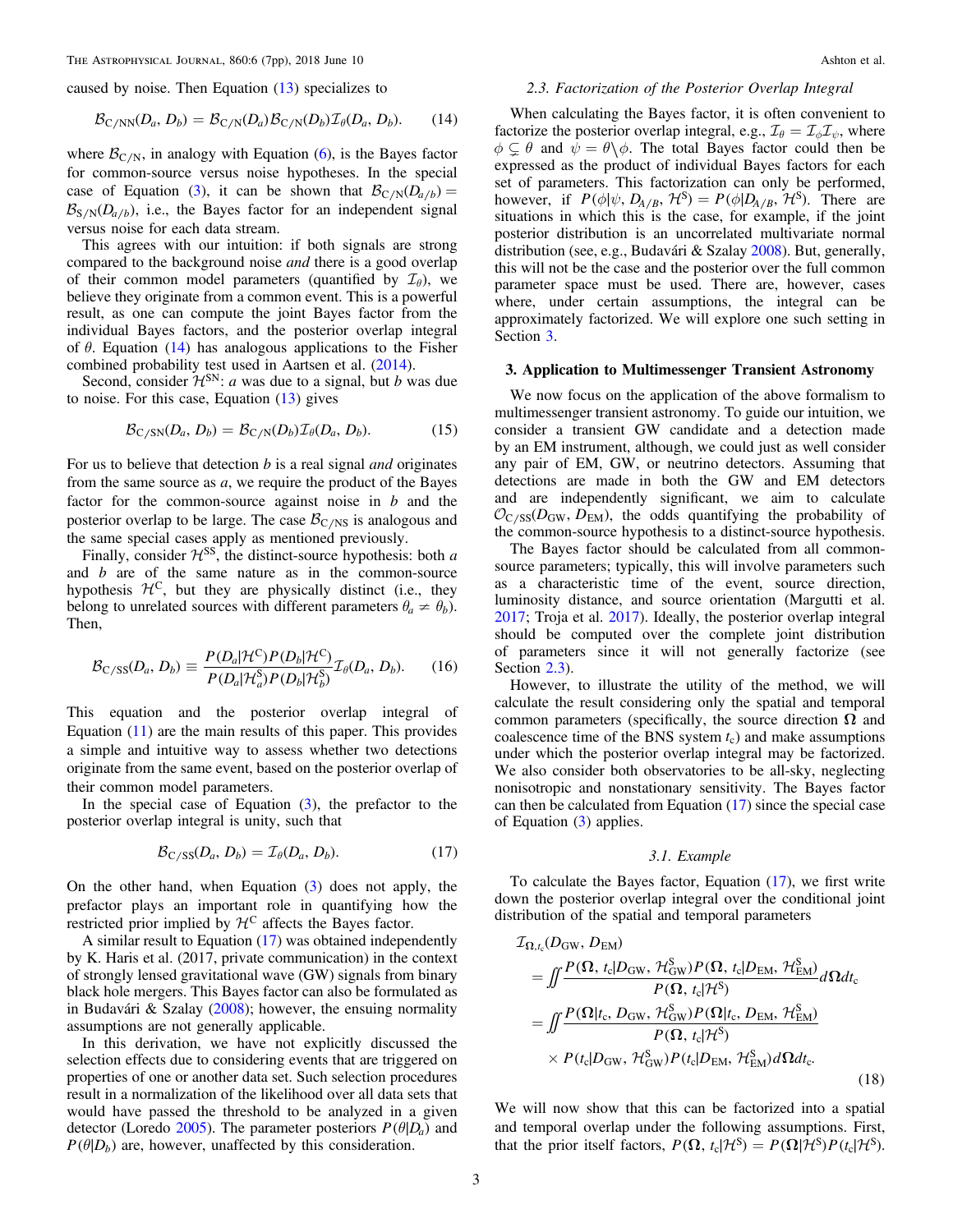<span id="page-4-0"></span>caused by noise. Then Equation ([13](#page-3-0)) specializes to

$$
\mathcal{B}_{\text{C/NN}}(D_a, D_b) = \mathcal{B}_{\text{C/N}}(D_a) \mathcal{B}_{\text{C/N}}(D_b) \mathcal{I}_{\theta}(D_a, D_b). \tag{14}
$$

where  $\mathcal{B}_{C/N}$ , in analogy with Equation ([6](#page-3-0)), is the Bayes factor for common-source versus noise hypotheses. In the special case of Equation ([3](#page-3-0)), it can be shown that  $\mathcal{B}_{C/N}(D_{a/b}) =$  $\mathcal{B}_{S/N}(D_{a/b})$ , i.e., the Bayes factor for an independent signal versus noise for each data stream.

This agrees with our intuition: if both signals are strong compared to the background noise *and* there is a good overlap of their common model parameters (quantified by  $\mathcal{I}_{\theta}$ ), we believe they originate from a common event. This is a powerful result, as one can compute the joint Bayes factor from the individual Bayes factors, and the posterior overlap integral of  $\theta$ . Equation (14) has analogous applications to the Fisher combined probability test used in Aartsen et al. ([2014](#page-7-0)).

Second, consider  $\mathcal{H}^{\text{SN}}$ : *a* was due to a signal, but *b* was due to noise. For this case, Equation  $(13)$  $(13)$  $(13)$  gives

$$
\mathcal{B}_{C/SN}(D_a, D_b) = \mathcal{B}_{C/N}(D_b) \mathcal{I}_{\theta}(D_a, D_b). \tag{15}
$$

For us to believe that detection  $b$  is a real signal *and* originates from the same source as a, we require the product of the Bayes factor for the common-source against noise in  $b$  and the posterior overlap to be large. The case  $\mathcal{B}_{C/NS}$  is analogous and the same special cases apply as mentioned previously.

Finally, consider  $H^{SS}$ , the distinct-source hypothesis: both a and b are of the same nature as in the common-source hypothesis  $\mathcal{H}^C$ , but they are physically distinct (i.e., they belong to unrelated sources with different parameters  $\theta_a \neq \theta_b$ ). Then,

$$
\mathcal{B}_{\text{C/SS}}(D_a, D_b) \equiv \frac{P(D_a|\mathcal{H}^{\text{C}})P(D_b|\mathcal{H}^{\text{C}})}{P(D_a|\mathcal{H}_a^{\text{S}})P(D_b|\mathcal{H}_b^{\text{S}})} \mathcal{I}_{\theta}(D_a, D_b). \tag{16}
$$

This equation and the posterior overlap integral of Equation  $(11)$  $(11)$  $(11)$  are the main results of this paper. This provides a simple and intuitive way to assess whether two detections originate from the same event, based on the posterior overlap of their common model parameters.

In the special case of Equation  $(3)$  $(3)$  $(3)$ , the prefactor to the posterior overlap integral is unity, such that

$$
\mathcal{B}_{C/SS}(D_a, D_b) = \mathcal{I}_{\theta}(D_a, D_b). \tag{17}
$$

On the other hand, when Equation ([3](#page-3-0)) does not apply, the prefactor plays an important role in quantifying how the restricted prior implied by  $\mathcal{H}^C$  affects the Bayes factor.

A similar result to Equation (17) was obtained independently by K. Haris et al. (2017, private communication) in the context of strongly lensed gravitational wave (GW) signals from binary black hole mergers. This Bayes factor can also be formulated as in Budavári & Szalay ([2008](#page-7-0)); however, the ensuing normality assumptions are not generally applicable.

In this derivation, we have not explicitly discussed the selection effects due to considering events that are triggered on properties of one or another data set. Such selection procedures result in a normalization of the likelihood over all data sets that would have passed the threshold to be analyzed in a given detector (Loredo [2005](#page-8-0)). The parameter posteriors  $P(\theta|D_a)$  and  $P(\theta|D_b)$  are, however, unaffected by this consideration.

#### 2.3. Factorization of the Posterior Overlap Integral

When calculating the Bayes factor, it is often convenient to factorize the posterior overlap integral, e.g.,  $\mathcal{I}_{\theta} = \mathcal{I}_{\phi} \mathcal{I}_{\psi}$ , where  $\phi \subsetneq \theta$  and  $\psi = \theta \setminus \phi$ . The total Bayes factor could then be expressed as the product of individual Bayes factors for each set of parameters. This factorization can only be performed, however, if  $P(\phi|\psi, D_{A/B}, \mathcal{H}^S) = P(\phi|D_{A/B}, \mathcal{H}^S)$ . There are situations in which this is the case, for example, if the joint posterior distribution is an uncorrelated multivariate normal distribution (see, e.g., Budavári & Szalay [2008](#page-7-0)). But, generally, this will not be the case and the posterior over the full common parameter space must be used. There are, however, cases where, under certain assumptions, the integral can be approximately factorized. We will explore one such setting in Section 3.

#### 3. Application to Multimessenger Transient Astronomy

We now focus on the application of the above formalism to multimessenger transient astronomy. To guide our intuition, we consider a transient GW candidate and a detection made by an EM instrument, although, we could just as well consider any pair of EM, GW, or neutrino detectors. Assuming that detections are made in both the GW and EM detectors and are independently significant, we aim to calculate  $\mathcal{O}_{\rm C/SS}(D_{\rm GW}, D_{\rm EM})$ , the odds quantifying the probability of the common-source hypothesis to a distinct-source hypothesis.

The Bayes factor should be calculated from all commonsource parameters; typically, this will involve parameters such as a characteristic time of the event, source direction, luminosity distance, and source orientation (Margutti et al. [2017;](#page-8-0) Troja et al. [2017](#page-8-0)). Ideally, the posterior overlap integral should be computed over the complete joint distribution of parameters since it will not generally factorize (see Section 2.3).

However, to illustrate the utility of the method, we will calculate the result considering only the spatial and temporal common parameters (specifically, the source direction  $\Omega$  and coalescence time of the BNS system  $t_c$ ) and make assumptions under which the posterior overlap integral may be factorized. We also consider both observatories to be all-sky, neglecting nonisotropic and nonstationary sensitivity. The Bayes factor can then be calculated from Equation (17) since the special case of Equation ([3](#page-3-0)) applies.

#### 3.1. Example

To calculate the Bayes factor, Equation (17), we first write down the posterior overlap integral over the conditional joint distribution of the spatial and temporal parameters

$$
\mathcal{I}_{\Omega,t_c}(D_{\rm GW}, D_{\rm EM})
$$
\n
$$
= \iint \frac{P(\Omega, t_c|D_{\rm GW}, \mathcal{H}_{\rm GW}^{\rm S}) P(\Omega, t_c|D_{\rm EM}, \mathcal{H}_{\rm EM}^{\rm S})}{P(\Omega, t_c|\mathcal{H}^{\rm S})} d\Omega dt_c
$$
\n
$$
= \iint \frac{P(\Omega|t_c, D_{\rm GW}, \mathcal{H}_{\rm GW}^{\rm S}) P(\Omega|t_c, D_{\rm EM}, \mathcal{H}_{\rm EM}^{\rm S})}{P(\Omega, t_c|\mathcal{H}^{\rm S})}
$$
\n
$$
\times P(t_c|D_{\rm GW}, \mathcal{H}_{\rm GW}^{\rm S}) P(t_c|D_{\rm EM}, \mathcal{H}_{\rm EM}^{\rm S}) d\Omega dt_c.
$$
\n(18)

We will now show that this can be factorized into a spatial and temporal overlap under the following assumptions. First, that the prior itself factors,  $P(\Omega, t_c | \mathcal{H}^S) = P(\Omega | \mathcal{H}^S) P(t_c | \mathcal{H}^S)$ .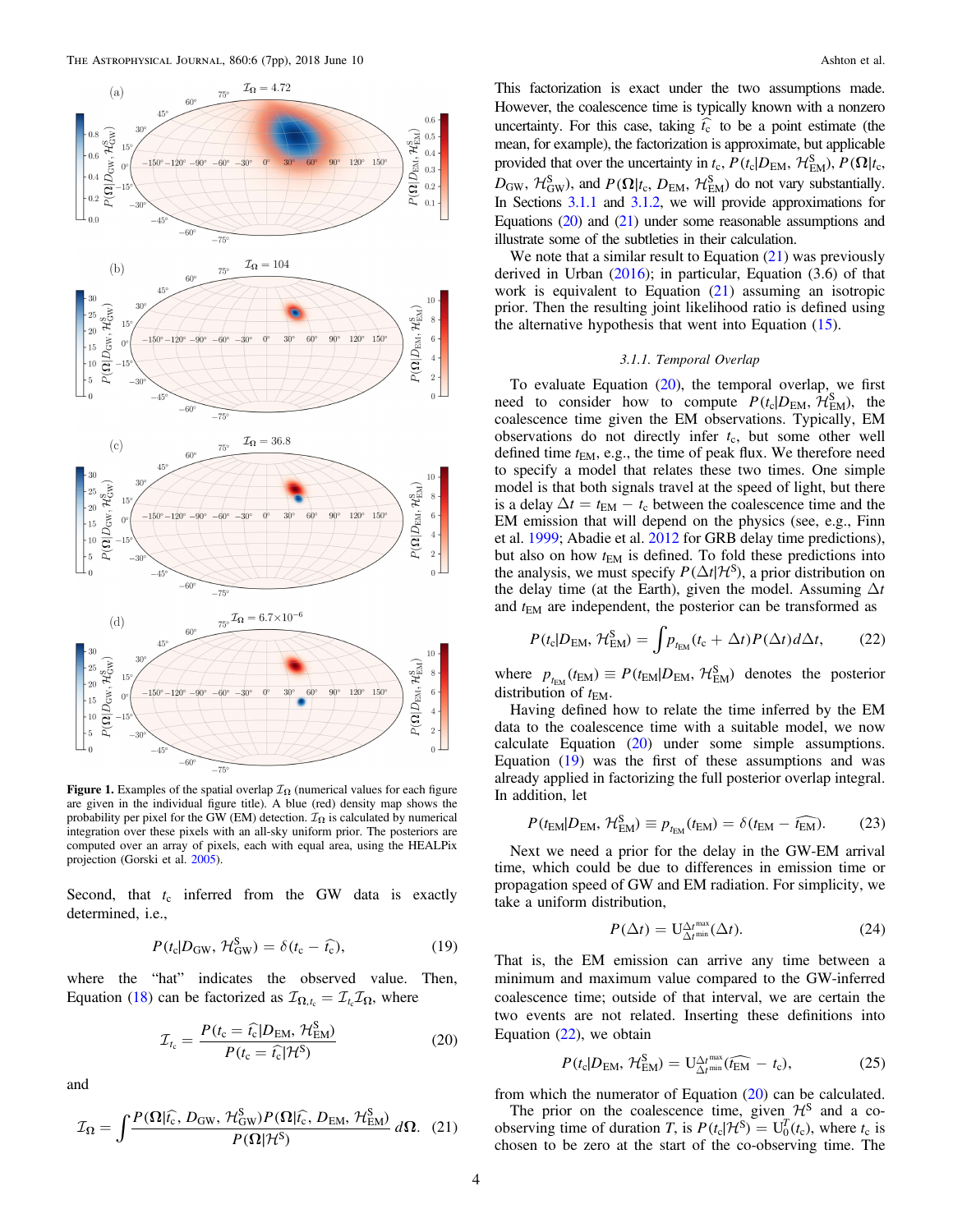<span id="page-5-0"></span>

**Figure 1.** Examples of the spatial overlap  $\mathcal{I}_{\Omega}$  (numerical values for each figure are given in the individual figure title). A blue (red) density map shows the probability per pixel for the GW (EM) detection.  $\mathcal{I}_{\Omega}$  is calculated by numerical integration over these pixels with an all-sky uniform prior. The posteriors are computed over an array of pixels, each with equal area, using the HEALPix projection (Gorski et al. [2005](#page-7-0)).

Second, that  $t_c$  inferred from the GW data is exactly determined, i.e.,

$$
P(t_{\rm c}|D_{\rm GW},\,\mathcal{H}_{\rm GW}^{\rm S})=\delta(t_{\rm c}-\hat{t_{\rm c}}),\qquad(19)
$$

where the "hat" indicates the observed value. Then, Equation ([18](#page-4-0)) can be factorized as  $\mathcal{I}_{\Omega,t_c} = \mathcal{I}_{t_c} \mathcal{I}_{\Omega}$ , where

$$
\mathcal{I}_{t_{\rm c}} = \frac{P(t_{\rm c} = \hat{t_{\rm c}}|D_{\rm EM}, \mathcal{H}_{\rm EM}^{\rm S})}{P(t_{\rm c} = \hat{t_{\rm c}}|\mathcal{H}^{\rm S})}
$$
(20)

and

$$
\mathcal{I}_{\Omega} = \int \frac{P(\Omega|\hat{t}_{\rm c}, D_{\rm GW}, \mathcal{H}_{\rm GW}^{\rm S}) P(\Omega|\hat{t}_{\rm c}, D_{\rm EM}, \mathcal{H}_{\rm EM}^{\rm S})}{P(\Omega|\mathcal{H}^{\rm S})} d\Omega. \tag{21}
$$

This factorization is exact under the two assumptions made. However, the coalescence time is typically known with a nonzero uncertainty. For this case, taking  $\hat{t}_{c}$  to be a point estimate (the mean, for example), the factorization is approximate, but applicable provided that over the uncertainty in  $t_c$ ,  $P(t_c|D_{EM}, \mathcal{H}_{EM}^S), P(\Omega|t_c,$  $D_{\rm GW}$ ,  $\mathcal{H}_{\rm GW}^{\rm S}$ ), and  $P(\mathbf{\Omega}|t_{\rm c}, D_{\rm EM}, \mathcal{H}_{\rm EM}^{\rm S})$  do not vary substantially. In Sections 3.1.1 and [3.1.2](#page-6-0), we will provide approximations for Equations (20) and (21) under some reasonable assumptions and illustrate some of the subtleties in their calculation.

We note that a similar result to Equation (21) was previously derived in Urban  $(2016)$  $(2016)$  $(2016)$ ; in particular, Equation  $(3.6)$  of that work is equivalent to Equation  $(21)$  assuming an isotropic prior. Then the resulting joint likelihood ratio is defined using the alternative hypothesis that went into Equation  $(15)$  $(15)$  $(15)$ .

#### 3.1.1. Temporal Overlap

To evaluate Equation  $(20)$ , the temporal overlap, we first need to consider how to compute  $P(t_c|D_{EM}, \hat{\mathcal{H}}_{EM}^S)$ , the coalescence time given the EM observations. Typically, EM observations do not directly infer  $t_c$ , but some other well defined time  $t_{EM}$ , e.g., the time of peak flux. We therefore need to specify a model that relates these two times. One simple model is that both signals travel at the speed of light, but there is a delay  $\Delta t = t_{\text{EM}} - t_{\text{c}}$  between the coalescence time and the EM emission that will depend on the physics (see, e.g., Finn et al. [1999](#page-7-0); Abadie et al. [2012](#page-7-0) for GRB delay time predictions), but also on how  $t_{EM}$  is defined. To fold these predictions into the analysis, we must specify  $P(\Delta t | \mathcal{H}^S)$ , a prior distribution on the delay time (at the Earth), given the model. Assuming  $\Delta t$ and  $t_{EM}$  are independent, the posterior can be transformed as

$$
P(t_{\rm c}|D_{\rm EM},\,\mathcal{H}_{\rm EM}^{\rm S}) = \int p_{t_{\rm EM}}(t_{\rm c}+\Delta t)P(\Delta t)d\Delta t,\qquad(22)
$$

where  $p_{t_{\text{EM}}} (t_{\text{EM}}) \equiv P(t_{\text{EM}} | D_{\text{EM}}, \mathcal{H}_{\text{EM}}^S)$  denotes the posterior distribution of  $t_{EM}$ .

Having defined how to relate the time inferred by the EM data to the coalescence time with a suitable model, we now calculate Equation (20) under some simple assumptions. Equation (19) was the first of these assumptions and was already applied in factorizing the full posterior overlap integral. In addition, let

$$
P(t_{\text{EM}}|D_{\text{EM}}, \mathcal{H}_{\text{EM}}^{\text{S}}) \equiv p_{t_{\text{EM}}}(t_{\text{EM}}) = \delta(t_{\text{EM}} - \widehat{t_{\text{EM}}}). \tag{23}
$$

Next we need a prior for the delay in the GW-EM arrival time, which could be due to differences in emission time or propagation speed of GW and EM radiation. For simplicity, we take a uniform distribution,

$$
P(\Delta t) = \mathcal{U}_{\Delta t^{\min}}^{\Delta t^{\max}}(\Delta t). \tag{24}
$$

That is, the EM emission can arrive any time between a minimum and maximum value compared to the GW-inferred coalescence time; outside of that interval, we are certain the two events are not related. Inserting these definitions into Equation  $(22)$ , we obtain

$$
P(t_{\rm c}|D_{\rm EM},\,\mathcal{H}_{\rm EM}^{\rm S})=\mathbf{U}_{\Delta t^{\rm min}}^{\Delta t^{\rm max}}(\widehat{t_{\rm EM}}-t_{\rm c}),\tag{25}
$$

from which the numerator of Equation (20) can be calculated.

The prior on the coalescence time, given  $\mathcal{H}^S$  and a coobserving time of duration *T*, is  $P(t_c | H^S) = U_0^T(t_c)$ , where  $t_c$  is chosen to be zero at the start of the co-observing time. The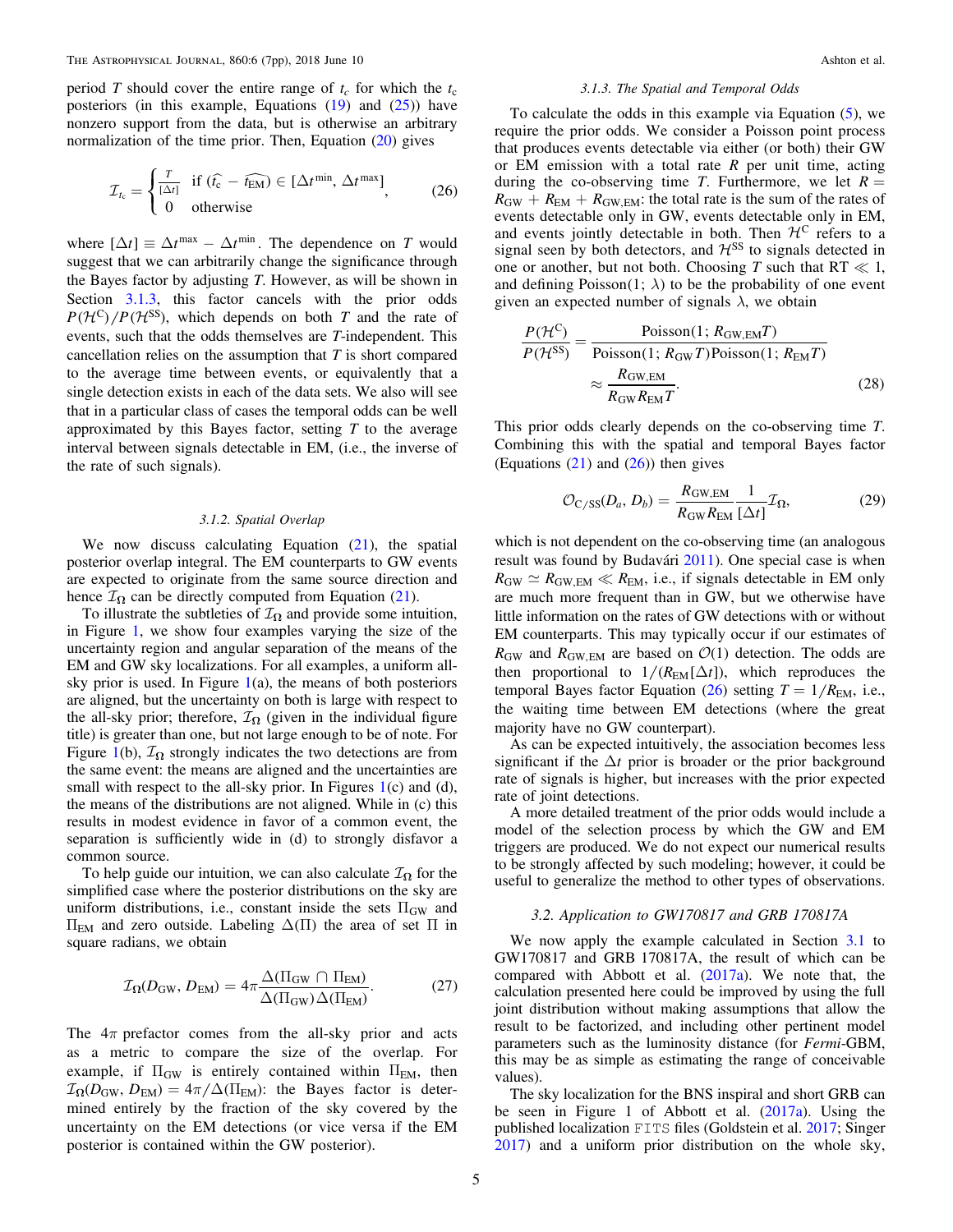<span id="page-6-0"></span>period T should cover the entire range of  $t_c$  for which the  $t_c$ posteriors (in this example, Equations  $(19)$  $(19)$  $(19)$  and  $(25)$  $(25)$  $(25)$ ) have nonzero support from the data, but is otherwise an arbitrary normalization of the time prior. Then, Equation ([20](#page-5-0)) gives

$$
\mathcal{I}_{t_{\rm c}} = \begin{cases} \frac{T}{[\Delta t]} & \text{if } (\hat{t_{\rm c}} - \widehat{t_{\rm EM}}) \in [\Delta t^{\rm min}, \Delta t^{\rm max}] \\ 0 & \text{otherwise} \end{cases} \tag{26}
$$

where  $[\Delta t] \equiv \Delta t^{\text{max}} - \Delta t^{\text{min}}$ . The dependence on T would suggest that we can arbitrarily change the significance through the Bayes factor by adjusting  $T$ . However, as will be shown in Section 3.1.3, this factor cancels with the prior odds  $P(H^{\text{C}})/P(H^{\text{SS}})$ , which depends on both T and the rate of events, such that the odds themselves are T-independent. This cancellation relies on the assumption that  $T$  is short compared to the average time between events, or equivalently that a single detection exists in each of the data sets. We also will see that in a particular class of cases the temporal odds can be well approximated by this Bayes factor, setting  $T$  to the average interval between signals detectable in EM, (i.e., the inverse of the rate of such signals).

#### 3.1.2. Spatial Overlap

We now discuss calculating Equation  $(21)$  $(21)$  $(21)$ , the spatial posterior overlap integral. The EM counterparts to GW events are expected to originate from the same source direction and hence  $\mathcal{I}_{\Omega}$  can be directly computed from Equation ([21](#page-5-0)).

To illustrate the subtleties of  $\mathcal{I}_{\Omega}$  and provide some intuition, in Figure [1,](#page-5-0) we show four examples varying the size of the uncertainty region and angular separation of the means of the EM and GW sky localizations. For all examples, a uniform allsky prior is used. In Figure  $1(a)$  $1(a)$ , the means of both posteriors are aligned, but the uncertainty on both is large with respect to the all-sky prior; therefore,  $\mathcal{I}_{\Omega}$  (given in the individual figure title) is greater than one, but not large enough to be of note. For Figure [1](#page-5-0)(b),  $\mathcal{I}_{\Omega}$  strongly indicates the two detections are from the same event: the means are aligned and the uncertainties are small with respect to the all-sky prior. In Figures  $1(c)$  $1(c)$  and  $(d)$ , the means of the distributions are not aligned. While in (c) this results in modest evidence in favor of a common event, the separation is sufficiently wide in (d) to strongly disfavor a common source.

To help guide our intuition, we can also calculate  $\mathcal{I}_{\Omega}$  for the simplified case where the posterior distributions on the sky are uniform distributions, i.e., constant inside the sets  $\Pi_{GW}$  and  $\Pi$ <sub>EM</sub> and zero outside. Labeling  $\Delta$ (Π) the area of set Π in square radians, we obtain

$$
\mathcal{I}_{\Omega}(D_{\rm GW}, D_{\rm EM}) = 4\pi \frac{\Delta(\Pi_{\rm GW} \cap \Pi_{\rm EM})}{\Delta(\Pi_{\rm GW})\Delta(\Pi_{\rm EM})}.
$$
 (27)

The  $4\pi$  prefactor comes from the all-sky prior and acts as a metric to compare the size of the overlap. For example, if  $\Pi_{GW}$  is entirely contained within  $\Pi_{EM}$ , then  $\mathcal{I}_{\Omega}(D_{\rm GW}, D_{\rm EM}) = 4\pi/\Delta(\Pi_{\rm EM})$ : the Bayes factor is determined entirely by the fraction of the sky covered by the uncertainty on the EM detections (or vice versa if the EM posterior is contained within the GW posterior).

#### 3.1.3. The Spatial and Temporal Odds

To calculate the odds in this example via Equation ([5](#page-3-0)), we require the prior odds. We consider a Poisson point process that produces events detectable via either (or both) their GW or EM emission with a total rate  $R$  per unit time, acting during the co-observing time T. Furthermore, we let  $R =$  $R_{\text{GW}} + R_{\text{EM}} + R_{\text{GW, EM}}$ : the total rate is the sum of the rates of events detectable only in GW, events detectable only in EM, and events jointly detectable in both. Then  $\mathcal{H}^C$  refers to a signal seen by both detectors, and  $H<sup>SS</sup>$  to signals detected in one or another, but not both. Choosing T such that  $RT \ll 1$ , and defining Poisson $(1; \lambda)$  to be the probability of one event given an expected number of signals  $\lambda$ , we obtain

$$
\frac{P(\mathcal{H}^{\mathcal{C}})}{P(\mathcal{H}^{\mathcal{S}\mathcal{S}})} = \frac{\text{Poisson}(1; R_{\text{GW,EM}}T)}{\text{Poisson}(1; R_{\text{GW}}T)\text{Poisson}(1; R_{\text{EM}}T)} \approx \frac{R_{\text{GW,EM}}}{R_{\text{GW,REM}}T}.
$$
(28)

This prior odds clearly depends on the co-observing time T. Combining this with the spatial and temporal Bayes factor (Equations  $(21)$  $(21)$  $(21)$  and  $(26)$ ) then gives

$$
\mathcal{O}_{C/SS}(D_a, D_b) = \frac{R_{\text{GW,EM}}}{R_{\text{GW}} R_{\text{EM}}} \frac{1}{[\Delta t]} \mathcal{I}_{\Omega},\tag{29}
$$

which is not dependent on the co-observing time (an analogous result was found by Budavári [2011](#page-7-0)). One special case is when  $R_{\text{GW}} \simeq R_{\text{GW,EM}} \ll R_{\text{EM}}$ , i.e., if signals detectable in EM only are much more frequent than in GW, but we otherwise have little information on the rates of GW detections with or without EM counterparts. This may typically occur if our estimates of  $R_{\text{GW}}$  and  $R_{\text{GW,EM}}$  are based on  $\mathcal{O}(1)$  detection. The odds are then proportional to  $1/(R_{\text{EM}}[\Delta t])$ , which reproduces the temporal Bayes factor Equation (26) setting  $T = 1/R<sub>EM</sub>$ , i.e., the waiting time between EM detections (where the great majority have no GW counterpart).

As can be expected intuitively, the association becomes less significant if the  $\Delta t$  prior is broader or the prior background rate of signals is higher, but increases with the prior expected rate of joint detections.

A more detailed treatment of the prior odds would include a model of the selection process by which the GW and EM triggers are produced. We do not expect our numerical results to be strongly affected by such modeling; however, it could be useful to generalize the method to other types of observations.

#### 3.2. Application to GW170817 and GRB 170817A

We now apply the example calculated in Section [3.1](#page-4-0) to GW170817 and GRB 170817A, the result of which can be compared with Abbott et al. ([2017a](#page-7-0)). We note that, the calculation presented here could be improved by using the full joint distribution without making assumptions that allow the result to be factorized, and including other pertinent model parameters such as the luminosity distance (for Fermi-GBM, this may be as simple as estimating the range of conceivable values).

The sky localization for the BNS inspiral and short GRB can be seen in Figure 1 of Abbott et al. ([2017a](#page-7-0)). Using the published localization FITS files (Goldstein et al. [2017](#page-7-0); Singer [2017](#page-8-0)) and a uniform prior distribution on the whole sky,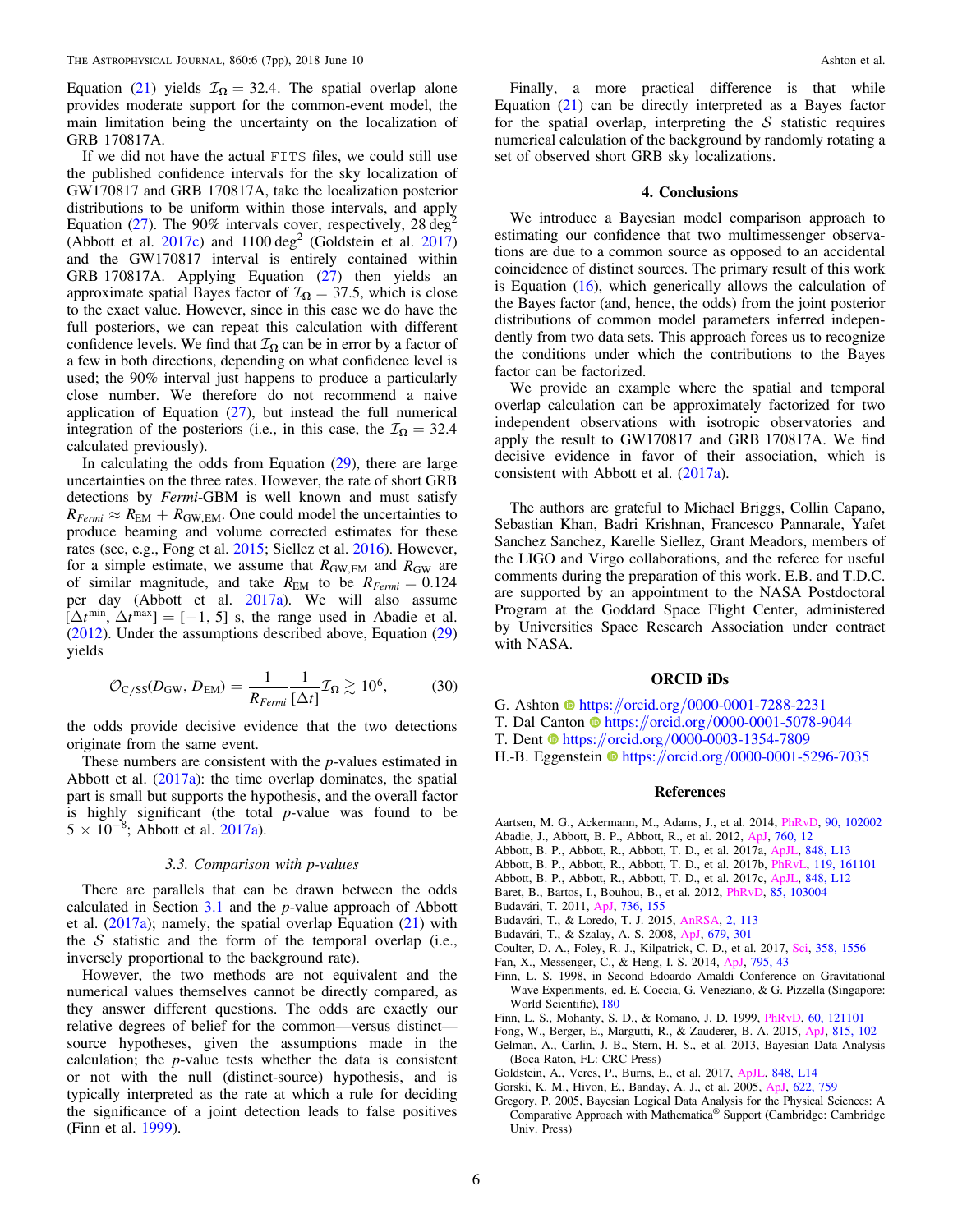<span id="page-7-0"></span>Equation ([21](#page-5-0)) yields  $\mathcal{I}_{\Omega} = 32.4$ . The spatial overlap alone provides moderate support for the common-event model, the main limitation being the uncertainty on the localization of GRB 170817A.

If we did not have the actual FITS files, we could still use the published confidence intervals for the sky localization of GW170817 and GRB 170817A, take the localization posterior distributions to be uniform within those intervals, and apply Equation ([27](#page-6-0)). The 90% intervals cover, respectively, 28 deg<sup>2</sup> (Abbott et al. 2017c) and  $1100 \text{ deg}^2$  (Goldstein et al. 2017) and the GW170817 interval is entirely contained within GRB 170817A. Applying Equation ([27](#page-6-0)) then yields an approximate spatial Bayes factor of  $\mathcal{I}_{\Omega} = 37.5$ , which is close to the exact value. However, since in this case we do have the full posteriors, we can repeat this calculation with different confidence levels. We find that  $\mathcal{I}_{\Omega}$  can be in error by a factor of a few in both directions, depending on what confidence level is used; the 90% interval just happens to produce a particularly close number. We therefore do not recommend a naive application of Equation ([27](#page-6-0)), but instead the full numerical integration of the posteriors (i.e., in this case, the  $\mathcal{I}_{\Omega} = 32.4$ calculated previously).

In calculating the odds from Equation  $(29)$  $(29)$  $(29)$ , there are large uncertainties on the three rates. However, the rate of short GRB detections by Fermi-GBM is well known and must satisfy  $R_{Fermi} \approx R_{EM} + R_{GW, EM}$ . One could model the uncertainties to produce beaming and volume corrected estimates for these rates (see, e.g., Fong et al. 2015; Siellez et al. [2016](#page-8-0)). However, for a simple estimate, we assume that  $R_{\text{GW,EM}}$  and  $R_{\text{GW}}$  are of similar magnitude, and take  $R_{EM}$  to be  $R_{Fermi} = 0.124$ per day (Abbott et al. 2017a). We will also assume  $[\Delta t^{\min}, \Delta t^{\max}] = [-1, 5]$  s, the range used in Abadie et al. (2012). Under the assumptions described above, Equation ([29](#page-6-0)) yields

$$
\mathcal{O}_{\text{C/SS}}(D_{\text{GW}}, D_{\text{EM}}) = \frac{1}{R_{Fermi}} \frac{1}{[\Delta t]} \mathcal{I}_{\Omega} \gtrsim 10^6, \tag{30}
$$

the odds provide decisive evidence that the two detections originate from the same event.

These numbers are consistent with the *p*-values estimated in Abbott et al. (2017a): the time overlap dominates, the spatial part is small but supports the hypothesis, and the overall factor is highly significant (the total  $p$ -value was found to be  $5 \times 10^{-8}$ ; Abbott et al. 2017a).

#### 3.3. Comparison with p-values

There are parallels that can be drawn between the odds calculated in Section  $3.1$  and the *p*-value approach of Abbott et al.  $(2017a)$ ; namely, the spatial overlap Equation  $(21)$  $(21)$  $(21)$  with the  $S$  statistic and the form of the temporal overlap (i.e., inversely proportional to the background rate).

However, the two methods are not equivalent and the numerical values themselves cannot be directly compared, as they answer different questions. The odds are exactly our relative degrees of belief for the common—versus distinct source hypotheses, given the assumptions made in the calculation; the  $p$ -value tests whether the data is consistent or not with the null (distinct-source) hypothesis, and is typically interpreted as the rate at which a rule for deciding the significance of a joint detection leads to false positives (Finn et al. 1999).

Finally, a more practical difference is that while Equation ([21](#page-5-0)) can be directly interpreted as a Bayes factor for the spatial overlap, interpreting the  $S$  statistic requires numerical calculation of the background by randomly rotating a set of observed short GRB sky localizations.

#### 4. Conclusions

We introduce a Bayesian model comparison approach to estimating our confidence that two multimessenger observations are due to a common source as opposed to an accidental coincidence of distinct sources. The primary result of this work is Equation  $(16)$  $(16)$  $(16)$ , which generically allows the calculation of the Bayes factor (and, hence, the odds) from the joint posterior distributions of common model parameters inferred independently from two data sets. This approach forces us to recognize the conditions under which the contributions to the Bayes factor can be factorized.

We provide an example where the spatial and temporal overlap calculation can be approximately factorized for two independent observations with isotropic observatories and apply the result to GW170817 and GRB 170817A. We find decisive evidence in favor of their association, which is consistent with Abbott et al. (2017a).

The authors are grateful to Michael Briggs, Collin Capano, Sebastian Khan, Badri Krishnan, Francesco Pannarale, Yafet Sanchez Sanchez, Karelle Siellez, Grant Meadors, members of the LIGO and Virgo collaborations, and the referee for useful comments during the preparation of this work. E.B. and T.D.C. are supported by an appointment to the NASA Postdoctoral Program at the Goddard Space Flight Center, administered by Universities Space Research Association under contract with NASA.

#### ORCID iDs

- G. Ashton  $\bullet$  [https:](https://orcid.org/0000-0001-7288-2231)//orcid.org/[0000-0001-7288-2231](https://orcid.org/0000-0001-7288-2231)
- T. Dal Canton **the [https:](https://orcid.org/0000-0001-5078-9044)**//orcid.org/[0000-0001-5078-9044](https://orcid.org/0000-0001-5078-9044)
- T. Dent  $\bullet$  [https:](https://orcid.org/0000-0003-1354-7809)//orcid.org/[0000-0003-1354-7809](https://orcid.org/0000-0003-1354-7809)
- H.-B. Egge[n](https://orcid.org/0000-0001-5296-7035)stein the [https:](https://orcid.org/0000-0001-5296-7035)//orcid.org/[0000-0001-5296-7035](https://orcid.org/0000-0001-5296-7035)

#### References

- Aartsen, M. G., Ackermann, M., Adams, J., et al. 2014, [PhRvD,](https://doi.org/10.1103/PhysRevD.90.102002) [90, 102002](http://adsabs.harvard.edu/abs/2014PhRvD..90j2002A)
- Abadie, J., Abbott, B. P., Abbott, R., et al. 2012, [ApJ](https://doi.org/10.1088/0004-637X/760/1/12), [760, 12](http://adsabs.harvard.edu/abs/2012ApJ...760...12A) Abbott, B. P., Abbott, R., Abbott, T. D., et al. 2017a, [ApJL,](https://doi.org/10.3847/2041-8213/aa920c) [848, L13](http://adsabs.harvard.edu/abs/2017ApJ...848L..13A)
- Abbott, B. P., Abbott, R., Abbott, T. D., et al. 2017b, [PhRvL](https://doi.org/10.1103/PhysRevLett.119.161101), [119, 161101](http://adsabs.harvard.edu/abs/2017PhRvL.119p1101A)
- Abbott, B. P., Abbott, R., Abbott, T. D., et al. 2017c, [ApJL,](https://doi.org/10.3847/2041-8213/aa91c9) [848, L12](http://adsabs.harvard.edu/abs/2017ApJ...848L..12A)
- Baret, B., Bartos, I., Bouhou, B., et al. 2012, [PhRvD](https://doi.org/10.1103/PhysRevD.85.103004), [85, 103004](http://adsabs.harvard.edu/abs/2012PhRvD..85j3004B)
- Budavári, T. 2011, [ApJ](https://doi.org/10.1088/0004-637X/736/2/155), [736, 155](http://adsabs.harvard.edu/abs/2011ApJ...736..155B)
- Budavári, T., & Loredo, T. J. 2015, [AnRSA](https://doi.org/10.1146/annurev-statistics-010814-020231), [2, 113](http://adsabs.harvard.edu/abs/2015AnRSA...2..113B)
- Budavári, T., & Szalay, A. S. 2008, [ApJ](https://doi.org/10.1086/587156), [679, 301](http://adsabs.harvard.edu/abs/2008ApJ...679..301B)
- Coulter, D. A., Foley, R. J., Kilpatrick, C. D., et al. 2017, [Sci](https://doi.org/10.1126/science.aap9811), [358, 1556](http://adsabs.harvard.edu/abs/2017Sci...358.1556C)
- Fan, X., Messenger, C., & Heng, I. S. 2014, [ApJ,](https://doi.org/10.1088/0004-637X/795/1/43) [795, 43](http://adsabs.harvard.edu/abs/2014ApJ...795...43F)
- Finn, L. S. 1998, in Second Edoardo Amaldi Conference on Gravitational Wave Experiments, ed. E. Coccia, G. Veneziano, & G. Pizzella (Singapore: World Scientific), [180](http://adsabs.harvard.edu/abs/1998grwa.conf..180F)
- Finn, L. S., Mohanty, S. D., & Romano, J. D. 1999, [PhRvD,](https://doi.org/10.1103/PhysRevD.60.121101) [60, 121101](http://adsabs.harvard.edu/abs/1999PhRvD..60l1101F)
- Fong, W., Berger, E., Margutti, R., & Zauderer, B. A. 2015, [ApJ](https://doi.org/10.1088/0004-637X/815/2/102), [815, 102](http://adsabs.harvard.edu/abs/2015ApJ...815..102F)
- Gelman, A., Carlin, J. B., Stern, H. S., et al. 2013, Bayesian Data Analysis (Boca Raton, FL: CRC Press)
- Goldstein, A., Veres, P., Burns, E., et al. 2017, [ApJL,](https://doi.org/10.3847/2041-8213/aa8f41) [848, L14](http://adsabs.harvard.edu/abs/2017ApJ...848L..14G)
- Gorski, K. M., Hivon, E., Banday, A. J., et al. 2005, [ApJ](https://doi.org/10.1086/427976), [622, 759](http://adsabs.harvard.edu/abs/2005ApJ...622..759G)
- Gregory, P. 2005, Bayesian Logical Data Analysis for the Physical Sciences: A Comparative Approach with Mathematica® Support (Cambridge: Cambridge Univ. Press)